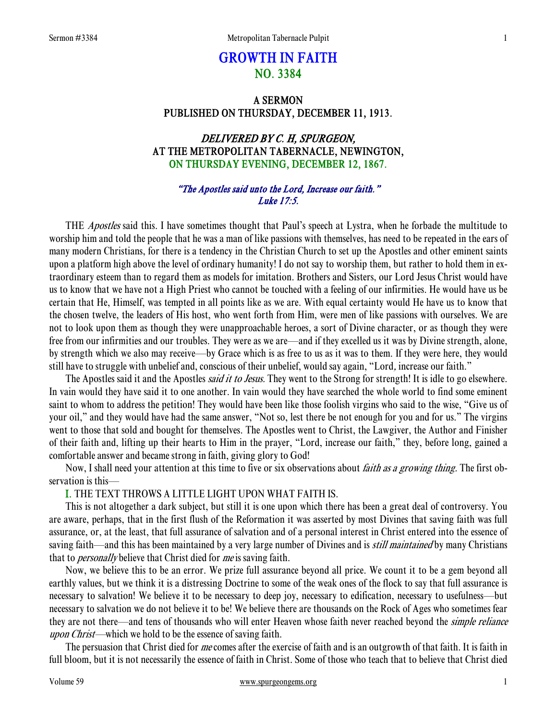# GROWTH IN FAITH NO. 3384

## A SERMON PUBLISHED ON THURSDAY, DECEMBER 11, 1913.

## DELIVERED BY C. H, SPURGEON, AT THE METROPOLITAN TABERNACLE, NEWINGTON, ON THURSDAY EVENING, DECEMBER 12, 1867.

## "The Apostles said unto the Lord, Increase our faith." Luke 17:5.

THE *Apostles* said this. I have sometimes thought that Paul's speech at Lystra, when he forbade the multitude to worship him and told the people that he was a man of like passions with themselves, has need to be repeated in the ears of many modern Christians, for there is a tendency in the Christian Church to set up the Apostles and other eminent saints upon a platform high above the level of ordinary humanity! I do not say to worship them, but rather to hold them in extraordinary esteem than to regard them as models for imitation. Brothers and Sisters, our Lord Jesus Christ would have us to know that we have not a High Priest who cannot be touched with a feeling of our infirmities. He would have us be certain that He, Himself, was tempted in all points like as we are. With equal certainty would He have us to know that the chosen twelve, the leaders of His host, who went forth from Him, were men of like passions with ourselves. We are not to look upon them as though they were unapproachable heroes, a sort of Divine character, or as though they were free from our infirmities and our troubles. They were as we are—and if they excelled us it was by Divine strength, alone, by strength which we also may receive—by Grace which is as free to us as it was to them. If they were here, they would still have to struggle with unbelief and, conscious of their unbelief, would say again, "Lord, increase our faith."

The Apostles said it and the Apostles *said it to Jesus*. They went to the Strong for strength! It is idle to go elsewhere. In vain would they have said it to one another. In vain would they have searched the whole world to find some eminent saint to whom to address the petition! They would have been like those foolish virgins who said to the wise, "Give us of your oil," and they would have had the same answer, "Not so, lest there be not enough for you and for us." The virgins went to those that sold and bought for themselves. The Apostles went to Christ, the Lawgiver, the Author and Finisher of their faith and, lifting up their hearts to Him in the prayer, "Lord, increase our faith," they, before long, gained a comfortable answer and became strong in faith, giving glory to God!

Now, I shall need your attention at this time to five or six observations about *faith as a growing thing*. The first observation is this—

## I. THE TEXT THROWS A LITTLE LIGHT UPON WHAT FAITH IS.

 This is not altogether a dark subject, but still it is one upon which there has been a great deal of controversy. You are aware, perhaps, that in the first flush of the Reformation it was asserted by most Divines that saving faith was full assurance, or, at the least, that full assurance of salvation and of a personal interest in Christ entered into the essence of saving faith—and this has been maintained by a very large number of Divines and is *still maintained* by many Christians that to *personally* believe that Christ died for *me* is saving faith.

 Now, we believe this to be an error. We prize full assurance beyond all price. We count it to be a gem beyond all earthly values, but we think it is a distressing Doctrine to some of the weak ones of the flock to say that full assurance is necessary to salvation! We believe it to be necessary to deep joy, necessary to edification, necessary to usefulness—but necessary to salvation we do not believe it to be! We believe there are thousands on the Rock of Ages who sometimes fear they are not there—and tens of thousands who will enter Heaven whose faith never reached beyond the *simple reliance* upon Christ—which we hold to be the essence of saving faith.

The persuasion that Christ died for me comes after the exercise of faith and is an outgrowth of that faith. It is faith in full bloom, but it is not necessarily the essence of faith in Christ. Some of those who teach that to believe that Christ died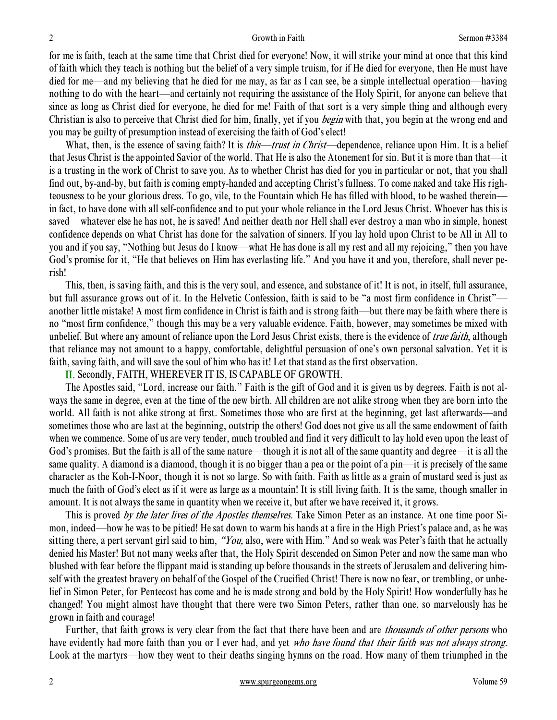for me is faith, teach at the same time that Christ died for everyone! Now, it will strike your mind at once that this kind of faith which they teach is nothing but the belief of a very simple truism, for if He died for everyone, then He must have died for me—and my believing that he died for me may, as far as I can see, be a simple intellectual operation—having nothing to do with the heart—and certainly not requiring the assistance of the Holy Spirit, for anyone can believe that since as long as Christ died for everyone, he died for me! Faith of that sort is a very simple thing and although every Christian is also to perceive that Christ died for him, finally, yet if you *begin* with that, you begin at the wrong end and you may be guilty of presumption instead of exercising the faith of God's elect!

What, then, is the essence of saving faith? It is *this—trust in Christ*—dependence, reliance upon Him. It is a belief that Jesus Christ is the appointed Savior of the world. That He is also the Atonement for sin. But it is more than that—it is a trusting in the work of Christ to save you. As to whether Christ has died for you in particular or not, that you shall find out, by-and-by, but faith is coming empty-handed and accepting Christ's fullness. To come naked and take His righteousness to be your glorious dress. To go, vile, to the Fountain which He has filled with blood, to be washed therein in fact, to have done with all self-confidence and to put your whole reliance in the Lord Jesus Christ. Whoever has this is saved—whatever else he has not, he is saved! And neither death nor Hell shall ever destroy a man who in simple, honest confidence depends on what Christ has done for the salvation of sinners. If you lay hold upon Christ to be All in All to you and if you say, "Nothing but Jesus do I know—what He has done is all my rest and all my rejoicing," then you have God's promise for it, "He that believes on Him has everlasting life." And you have it and you, therefore, shall never perish!

 This, then, is saving faith, and this is the very soul, and essence, and substance of it! It is not, in itself, full assurance, but full assurance grows out of it. In the Helvetic Confession, faith is said to be "a most firm confidence in Christ" another little mistake! A most firm confidence in Christ is faith and is strong faith—but there may be faith where there is no "most firm confidence," though this may be a very valuable evidence. Faith, however, may sometimes be mixed with unbelief. But where any amount of reliance upon the Lord Jesus Christ exists, there is the evidence of *true faith*, although that reliance may not amount to a happy, comfortable, delightful persuasion of one's own personal salvation. Yet it is faith, saving faith, and will save the soul of him who has it! Let that stand as the first observation.

II. Secondly, FAITH, WHEREVER IT IS, IS CAPABLE OF GROWTH.

 The Apostles said, "Lord, increase our faith." Faith is the gift of God and it is given us by degrees. Faith is not always the same in degree, even at the time of the new birth. All children are not alike strong when they are born into the world. All faith is not alike strong at first. Sometimes those who are first at the beginning, get last afterwards—and sometimes those who are last at the beginning, outstrip the others! God does not give us all the same endowment of faith when we commence. Some of us are very tender, much troubled and find it very difficult to lay hold even upon the least of God's promises. But the faith is all of the same nature—though it is not all of the same quantity and degree—it is all the same quality. A diamond is a diamond, though it is no bigger than a pea or the point of a pin—it is precisely of the same character as the Koh-I-Noor, though it is not so large. So with faith. Faith as little as a grain of mustard seed is just as much the faith of God's elect as if it were as large as a mountain! It is still living faith. It is the same, though smaller in amount. It is not always the same in quantity when we receive it, but after we have received it, it grows.

This is proved by the later lives of the Apostles themselves. Take Simon Peter as an instance. At one time poor Simon, indeed—how he was to be pitied! He sat down to warm his hands at a fire in the High Priest's palace and, as he was sitting there, a pert servant girl said to him, "You, also, were with Him." And so weak was Peter's faith that he actually denied his Master! But not many weeks after that, the Holy Spirit descended on Simon Peter and now the same man who blushed with fear before the flippant maid is standing up before thousands in the streets of Jerusalem and delivering himself with the greatest bravery on behalf of the Gospel of the Crucified Christ! There is now no fear, or trembling, or unbelief in Simon Peter, for Pentecost has come and he is made strong and bold by the Holy Spirit! How wonderfully has he changed! You might almost have thought that there were two Simon Peters, rather than one, so marvelously has he grown in faith and courage!

Further, that faith grows is very clear from the fact that there have been and are *thousands of other persons* who have evidently had more faith than you or I ever had, and yet who have found that their faith was not always strong. Look at the martyrs—how they went to their deaths singing hymns on the road. How many of them triumphed in the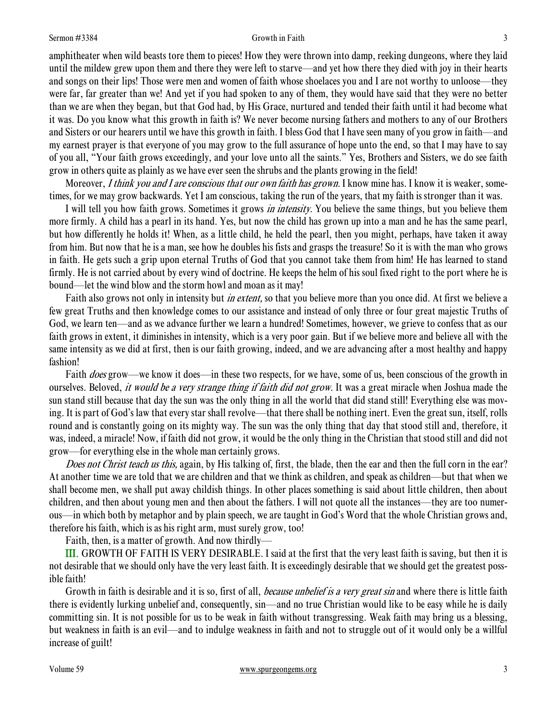#### Sermon #3384 **Sermon #3384** 3

amphitheater when wild beasts tore them to pieces! How they were thrown into damp, reeking dungeons, where they laid until the mildew grew upon them and there they were left to starve—and yet how there they died with joy in their hearts and songs on their lips! Those were men and women of faith whose shoelaces you and I are not worthy to unloose—they were far, far greater than we! And yet if you had spoken to any of them, they would have said that they were no better than we are when they began, but that God had, by His Grace, nurtured and tended their faith until it had become what it was. Do you know what this growth in faith is? We never become nursing fathers and mothers to any of our Brothers and Sisters or our hearers until we have this growth in faith. I bless God that I have seen many of you grow in faith—and my earnest prayer is that everyone of you may grow to the full assurance of hope unto the end, so that I may have to say of you all, "Your faith grows exceedingly, and your love unto all the saints." Yes, Brothers and Sisters, we do see faith grow in others quite as plainly as we have ever seen the shrubs and the plants growing in the field!

Moreover, *I think you and I are conscious that our own faith has grown*. I know mine has. I know it is weaker, sometimes, for we may grow backwards. Yet I am conscious, taking the run of the years, that my faith is stronger than it was.

I will tell you how faith grows. Sometimes it grows *in intensity*. You believe the same things, but you believe them more firmly. A child has a pearl in its hand. Yes, but now the child has grown up into a man and he has the same pearl, but how differently he holds it! When, as a little child, he held the pearl, then you might, perhaps, have taken it away from him. But now that he is a man, see how he doubles his fists and grasps the treasure! So it is with the man who grows in faith. He gets such a grip upon eternal Truths of God that you cannot take them from him! He has learned to stand firmly. He is not carried about by every wind of doctrine. He keeps the helm of his soul fixed right to the port where he is bound—let the wind blow and the storm howl and moan as it may!

Faith also grows not only in intensity but *in extent*, so that you believe more than you once did. At first we believe a few great Truths and then knowledge comes to our assistance and instead of only three or four great majestic Truths of God, we learn ten—and as we advance further we learn a hundred! Sometimes, however, we grieve to confess that as our faith grows in extent, it diminishes in intensity, which is a very poor gain. But if we believe more and believe all with the same intensity as we did at first, then is our faith growing, indeed, and we are advancing after a most healthy and happy fashion!

Faith *does* grow—we know it does—in these two respects, for we have, some of us, been conscious of the growth in ourselves. Beloved, *it would be a very strange thing if faith did not grow*. It was a great miracle when Joshua made the sun stand still because that day the sun was the only thing in all the world that did stand still! Everything else was moving. It is part of God's law that every star shall revolve—that there shall be nothing inert. Even the great sun, itself, rolls round and is constantly going on its mighty way. The sun was the only thing that day that stood still and, therefore, it was, indeed, a miracle! Now, if faith did not grow, it would be the only thing in the Christian that stood still and did not grow—for everything else in the whole man certainly grows.

Does not Christ teach us this, again, by His talking of, first, the blade, then the ear and then the full corn in the ear? At another time we are told that we are children and that we think as children, and speak as children—but that when we shall become men, we shall put away childish things. In other places something is said about little children, then about children, and then about young men and then about the fathers. I will not quote all the instances—they are too numerous—in which both by metaphor and by plain speech, we are taught in God's Word that the whole Christian grows and, therefore his faith, which is as his right arm, must surely grow, too!

Faith, then, is a matter of growth. And now thirdly—

III. GROWTH OF FAITH IS VERY DESIRABLE. I said at the first that the very least faith is saving, but then it is not desirable that we should only have the very least faith. It is exceedingly desirable that we should get the greatest possible faith!

Growth in faith is desirable and it is so, first of all, *because unbelief is a very great sin* and where there is little faith there is evidently lurking unbelief and, consequently, sin—and no true Christian would like to be easy while he is daily committing sin. It is not possible for us to be weak in faith without transgressing. Weak faith may bring us a blessing, but weakness in faith is an evil—and to indulge weakness in faith and not to struggle out of it would only be a willful increase of guilt!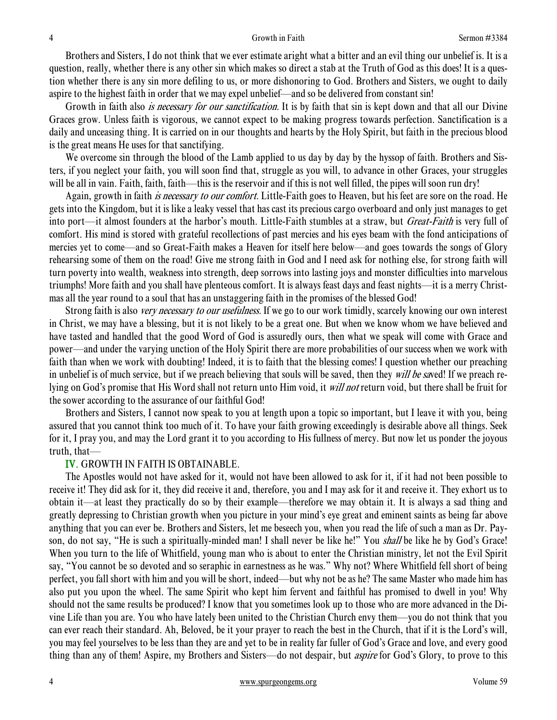#### 4 Growth in Faith Sermon #3384

 Brothers and Sisters, I do not think that we ever estimate aright what a bitter and an evil thing our unbelief is. It is a question, really, whether there is any other sin which makes so direct a stab at the Truth of God as this does! It is a question whether there is any sin more defiling to us, or more dishonoring to God. Brothers and Sisters, we ought to daily aspire to the highest faith in order that we may expel unbelief—and so be delivered from constant sin!

Growth in faith also *is necessary for our sanctification*. It is by faith that sin is kept down and that all our Divine Graces grow. Unless faith is vigorous, we cannot expect to be making progress towards perfection. Sanctification is a daily and unceasing thing. It is carried on in our thoughts and hearts by the Holy Spirit, but faith in the precious blood is the great means He uses for that sanctifying.

We overcome sin through the blood of the Lamb applied to us day by day by the hyssop of faith. Brothers and Sisters, if you neglect your faith, you will soon find that, struggle as you will, to advance in other Graces, your struggles will be all in vain. Faith, faith, faith—this is the reservoir and if this is not well filled, the pipes will soon run dry!

Again, growth in faith *is necessary to our comfort*. Little-Faith goes to Heaven, but his feet are sore on the road. He gets into the Kingdom, but it is like a leaky vessel that has cast its precious cargo overboard and only just manages to get into port—it almost founders at the harbor's mouth. Little-Faith stumbles at a straw, but Great-Faith is very full of comfort. His mind is stored with grateful recollections of past mercies and his eyes beam with the fond anticipations of mercies yet to come—and so Great-Faith makes a Heaven for itself here below—and goes towards the songs of Glory rehearsing some of them on the road! Give me strong faith in God and I need ask for nothing else, for strong faith will turn poverty into wealth, weakness into strength, deep sorrows into lasting joys and monster difficulties into marvelous triumphs! More faith and you shall have plenteous comfort. It is always feast days and feast nights—it is a merry Christmas all the year round to a soul that has an unstaggering faith in the promises of the blessed God!

Strong faith is also *very necessary to our usefulness*. If we go to our work timidly, scarcely knowing our own interest in Christ, we may have a blessing, but it is not likely to be a great one. But when we know whom we have believed and have tasted and handled that the good Word of God is assuredly ours, then what we speak will come with Grace and power—and under the varying unction of the Holy Spirit there are more probabilities of our success when we work with faith than when we work with doubting! Indeed, it is to faith that the blessing comes! I question whether our preaching in unbelief is of much service, but if we preach believing that souls will be saved, then they will be saved! If we preach relying on God's promise that His Word shall not return unto Him void, it *will not* return void, but there shall be fruit for the sower according to the assurance of our faithful God!

 Brothers and Sisters, I cannot now speak to you at length upon a topic so important, but I leave it with you, being assured that you cannot think too much of it. To have your faith growing exceedingly is desirable above all things. Seek for it, I pray you, and may the Lord grant it to you according to His fullness of mercy. But now let us ponder the joyous truth, that—

### IV. GROWTH IN FAITH IS OBTAINABLE.

 The Apostles would not have asked for it, would not have been allowed to ask for it, if it had not been possible to receive it! They did ask for it, they did receive it and, therefore, you and I may ask for it and receive it. They exhort us to obtain it—at least they practically do so by their example—therefore we may obtain it. It is always a sad thing and greatly depressing to Christian growth when you picture in your mind's eye great and eminent saints as being far above anything that you can ever be. Brothers and Sisters, let me beseech you, when you read the life of such a man as Dr. Payson, do not say, "He is such a spiritually-minded man! I shall never be like he!" You *shall* be like he by God's Grace! When you turn to the life of Whitfield, young man who is about to enter the Christian ministry, let not the Evil Spirit say, "You cannot be so devoted and so seraphic in earnestness as he was." Why not? Where Whitfield fell short of being perfect, you fall short with him and you will be short, indeed—but why not be as he? The same Master who made him has also put you upon the wheel. The same Spirit who kept him fervent and faithful has promised to dwell in you! Why should not the same results be produced? I know that you sometimes look up to those who are more advanced in the Divine Life than you are. You who have lately been united to the Christian Church envy them—you do not think that you can ever reach their standard. Ah, Beloved, be it your prayer to reach the best in the Church, that if it is the Lord's will, you may feel yourselves to be less than they are and yet to be in reality far fuller of God's Grace and love, and every good thing than any of them! Aspire, my Brothers and Sisters—do not despair, but aspire for God's Glory, to prove to this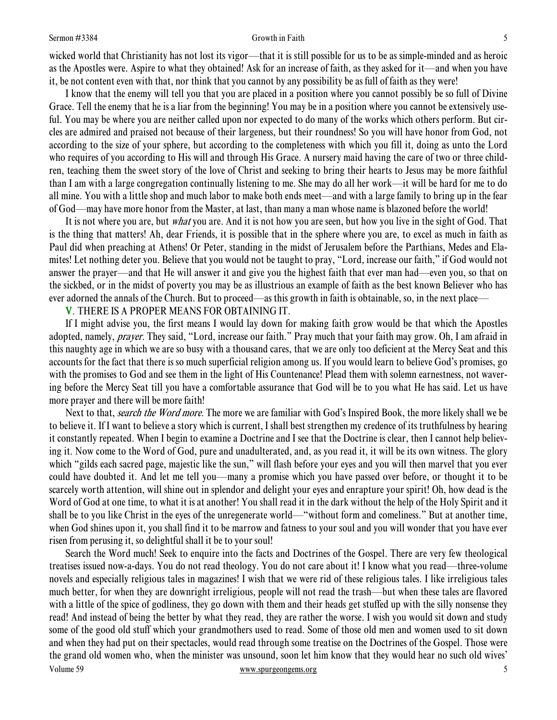#### Sermon #3384 Sermon \$384

wicked world that Christianity has not lost its vigor—that it is still possible for us to be as simple-minded and as heroic as the Apostles were. Aspire to what they obtained! Ask for an increase of faith, as they asked for it—and when you have it, be not content even with that, nor think that you cannot by any possibility be as full of faith as they were!

 I know that the enemy will tell you that you are placed in a position where you cannot possibly be so full of Divine Grace. Tell the enemy that he is a liar from the beginning! You may be in a position where you cannot be extensively useful. You may be where you are neither called upon nor expected to do many of the works which others perform. But circles are admired and praised not because of their largeness, but their roundness! So you will have honor from God, not according to the size of your sphere, but according to the completeness with which you fill it, doing as unto the Lord who requires of you according to His will and through His Grace. A nursery maid having the care of two or three children, teaching them the sweet story of the love of Christ and seeking to bring their hearts to Jesus may be more faithful than I am with a large congregation continually listening to me. She may do all her work—it will be hard for me to do all mine. You with a little shop and much labor to make both ends meet—and with a large family to bring up in the fear of God—may have more honor from the Master, at last, than many a man whose name is blazoned before the world!

It is not where you are, but *what* you are. And it is not how you are seen, but how you live in the sight of God. That is the thing that matters! Ah, dear Friends, it is possible that in the sphere where you are, to excel as much in faith as Paul did when preaching at Athens! Or Peter, standing in the midst of Jerusalem before the Parthians, Medes and Elamites! Let nothing deter you. Believe that you would not be taught to pray, "Lord, increase our faith," if God would not answer the prayer—and that He will answer it and give you the highest faith that ever man had—even you, so that on the sickbed, or in the midst of poverty you may be as illustrious an example of faith as the best known Believer who has ever adorned the annals of the Church. But to proceed—as this growth in faith is obtainable, so, in the next place—

V. THERE IS A PROPER MEANS FOR OBTAINING IT.

 If I might advise you, the first means I would lay down for making faith grow would be that which the Apostles adopted, namely, *prayer*. They said, "Lord, increase our faith." Pray much that your faith may grow. Oh, I am afraid in this naughty age in which we are so busy with a thousand cares, that we are only too deficient at the Mercy Seat and this accounts for the fact that there is so much superficial religion among us. If you would learn to believe God's promises, go with the promises to God and see them in the light of His Countenance! Plead them with solemn earnestness, not wavering before the Mercy Seat till you have a comfortable assurance that God will be to you what He has said. Let us have more prayer and there will be more faith!

Next to that, *search the Word more*. The more we are familiar with God's Inspired Book, the more likely shall we be to believe it. If I want to believe a story which is current, I shall best strengthen my credence of its truthfulness by hearing it constantly repeated. When I begin to examine a Doctrine and I see that the Doctrine is clear, then I cannot help believing it. Now come to the Word of God, pure and unadulterated, and, as you read it, it will be its own witness. The glory which "gilds each sacred page, majestic like the sun," will flash before your eyes and you will then marvel that you ever could have doubted it. And let me tell you—many a promise which you have passed over before, or thought it to be scarcely worth attention, will shine out in splendor and delight your eyes and enrapture your spirit! Oh, how dead is the Word of God at one time, to what it is at another! You shall read it in the dark without the help of the Holy Spirit and it shall be to you like Christ in the eyes of the unregenerate world—"without form and comeliness." But at another time, when God shines upon it, you shall find it to be marrow and fatness to your soul and you will wonder that you have ever risen from perusing it, so delightful shall it be to your soul!

Volume 59 www.spurgeongems.org 5 Search the Word much! Seek to enquire into the facts and Doctrines of the Gospel. There are very few theological treatises issued now-a-days. You do not read theology. You do not care about it! I know what you read—three-volume novels and especially religious tales in magazines! I wish that we were rid of these religious tales. I like irreligious tales much better, for when they are downright irreligious, people will not read the trash—but when these tales are flavored with a little of the spice of godliness, they go down with them and their heads get stuffed up with the silly nonsense they read! And instead of being the better by what they read, they are rather the worse. I wish you would sit down and study some of the good old stuff which your grandmothers used to read. Some of those old men and women used to sit down and when they had put on their spectacles, would read through some treatise on the Doctrines of the Gospel. Those were the grand old women who, when the minister was unsound, soon let him know that they would hear no such old wives'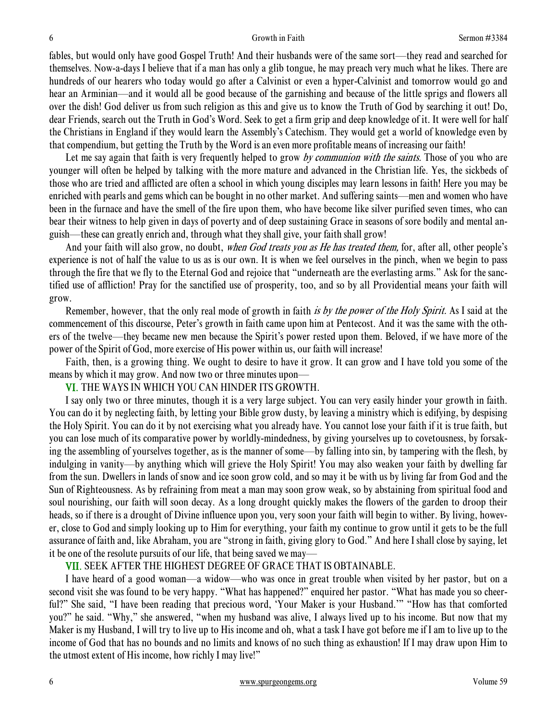fables, but would only have good Gospel Truth! And their husbands were of the same sort—they read and searched for themselves. Now-a-days I believe that if a man has only a glib tongue, he may preach very much what he likes. There are hundreds of our hearers who today would go after a Calvinist or even a hyper-Calvinist and tomorrow would go and hear an Arminian—and it would all be good because of the garnishing and because of the little sprigs and flowers all over the dish! God deliver us from such religion as this and give us to know the Truth of God by searching it out! Do, dear Friends, search out the Truth in God's Word. Seek to get a firm grip and deep knowledge of it. It were well for half the Christians in England if they would learn the Assembly's Catechism. They would get a world of knowledge even by that compendium, but getting the Truth by the Word is an even more profitable means of increasing our faith!

Let me say again that faith is very frequently helped to grow by communion with the saints. Those of you who are younger will often be helped by talking with the more mature and advanced in the Christian life. Yes, the sickbeds of those who are tried and afflicted are often a school in which young disciples may learn lessons in faith! Here you may be enriched with pearls and gems which can be bought in no other market. And suffering saints—men and women who have been in the furnace and have the smell of the fire upon them, who have become like silver purified seven times, who can bear their witness to help given in days of poverty and of deep sustaining Grace in seasons of sore bodily and mental anguish—these can greatly enrich and, through what they shall give, your faith shall grow!

And your faith will also grow, no doubt, when God treats you as He has treated them, for, after all, other people's experience is not of half the value to us as is our own. It is when we feel ourselves in the pinch, when we begin to pass through the fire that we fly to the Eternal God and rejoice that "underneath are the everlasting arms." Ask for the sanctified use of affliction! Pray for the sanctified use of prosperity, too, and so by all Providential means your faith will grow.

Remember, however, that the only real mode of growth in faith is by the power of the Holy Spirit. As I said at the commencement of this discourse, Peter's growth in faith came upon him at Pentecost. And it was the same with the others of the twelve—they became new men because the Spirit's power rested upon them. Beloved, if we have more of the power of the Spirit of God, more exercise of His power within us, our faith will increase!

 Faith, then, is a growing thing. We ought to desire to have it grow. It can grow and I have told you some of the means by which it may grow. And now two or three minutes upon—

VI. THE WAYS IN WHICH YOU CAN HINDER ITS GROWTH.

 I say only two or three minutes, though it is a very large subject. You can very easily hinder your growth in faith. You can do it by neglecting faith, by letting your Bible grow dusty, by leaving a ministry which is edifying, by despising the Holy Spirit. You can do it by not exercising what you already have. You cannot lose your faith if it is true faith, but you can lose much of its comparative power by worldly-mindedness, by giving yourselves up to covetousness, by forsaking the assembling of yourselves together, as is the manner of some—by falling into sin, by tampering with the flesh, by indulging in vanity—by anything which will grieve the Holy Spirit! You may also weaken your faith by dwelling far from the sun. Dwellers in lands of snow and ice soon grow cold, and so may it be with us by living far from God and the Sun of Righteousness. As by refraining from meat a man may soon grow weak, so by abstaining from spiritual food and soul nourishing, our faith will soon decay. As a long drought quickly makes the flowers of the garden to droop their heads, so if there is a drought of Divine influence upon you, very soon your faith will begin to wither. By living, however, close to God and simply looking up to Him for everything, your faith my continue to grow until it gets to be the full assurance of faith and, like Abraham, you are "strong in faith, giving glory to God." And here I shall close by saying, let it be one of the resolute pursuits of our life, that being saved we may—

VII. SEEK AFTER THE HIGHEST DEGREE OF GRACE THAT IS OBTAINABLE.

 I have heard of a good woman—a widow—who was once in great trouble when visited by her pastor, but on a second visit she was found to be very happy. "What has happened?" enquired her pastor. "What has made you so cheerful?" She said, "I have been reading that precious word, 'Your Maker is your Husband.'" "How has that comforted you?" he said. "Why," she answered, "when my husband was alive, I always lived up to his income. But now that my Maker is my Husband, I will try to live up to His income and oh, what a task I have got before me if I am to live up to the income of God that has no bounds and no limits and knows of no such thing as exhaustion! If I may draw upon Him to the utmost extent of His income, how richly I may live!"